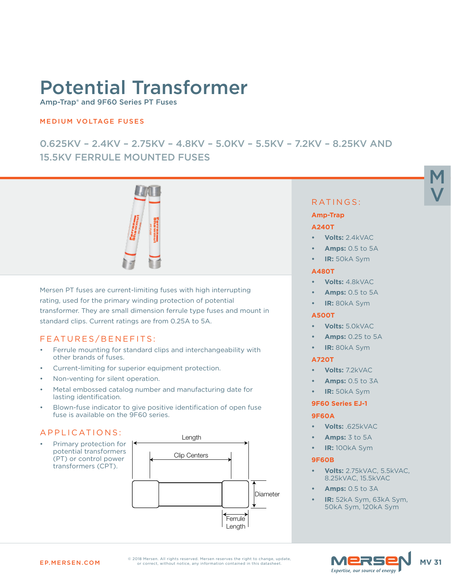# Potential Transformer

Amp-Trap® and 9F60 Series PT Fuses

## MEDIUM VOLTAGE FUSES

## 0.625KV – 2.4KV – 2.75KV – 4.8KV – 5.0KV – 5.5KV – 7.2KV – 8.25KV AND 15.5KV FERRULE MOUNTED FUSES



Mersen PT fuses are current-limiting fuses with high interrupting rating, used for the primary winding protection of potential transformer. They are small dimension ferrule type fuses and mount in standard clips. Current ratings are from 0.25A to 5A.

## FEATURES/BENEFITS:

- Ferrule mounting for standard clips and interchangeability with other brands of fuses.
- Current-limiting for superior equipment protection.
- Non-venting for silent operation.
- Metal embossed catalog number and manufacturing date for lasting identification.
- Blown-fuse indicator to give positive identification of open fuse fuse is available on the 9F60 series.

## APPLICATIONS:

Primary protection for potential transformers (PT) or control power transformers (CPT).



## RATINGS:

M

V

#### **Amp-Trap**

#### **A240T**

- **• Volts:** 2.4kVAC
- **• Amps:** 0.5 to 5A
- **• IR:** 50kA Sym

#### **A480T**

- **• Volts:** 4.8kVAC
- **• Amps:** 0.5 to 5A
- **• IR:** 80kA Sym

#### **A500T**

- **• Volts:** 5.0kVAC
- **• Amps:** 0.25 to 5A
- **• IR:** 80kA Sym

#### **A720T**

- **• Volts:** 7.2kVAC
- **• Amps:** 0.5 to 3A
- **• IR:** 50kA Sym

#### **9F60 Series EJ-1**

#### **9F60A**

- **• Volts:** .625kVAC
- **• Amps:** 3 to 5A
- **• IR:** 100kA Sym

#### **9F60B**

- **• Volts:** 2.75kVAC, 5.5kVAC, 8.25kVAC, 15.5kVAC
- **• Amps:** 0.5 to 3A
- **• IR:** 52kA Sym, 63kA Sym, 50kA Sym, 120kA Sym

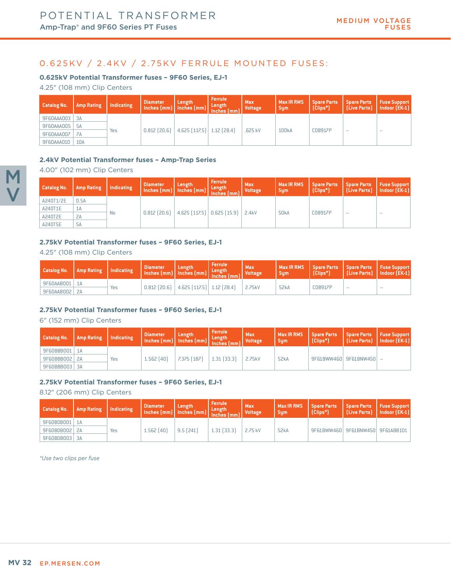## 0.625KV / 2.4KV / 2.75KV FERRULE MOUNTED FUSES:

#### **0.625kV Potential Transformer fuses – 9F60 Series, EJ-1**

4.25" (108 mm) Clip Centers

| Catalog No.     | Amp Rating | Indicating | <b>Diameter</b><br>Inches (mm) Inches (mm) Length | Length                                           | <b>Ferrule</b> | <b>Max</b><br><b>Voltage</b> | <b>Max IR RMS</b><br>Sum' | <b>Spare Parts</b><br>[Clips*] | Spare Parts   Fuse Support | [Live Parts]   Indoor (EK-1) |
|-----------------|------------|------------|---------------------------------------------------|--------------------------------------------------|----------------|------------------------------|---------------------------|--------------------------------|----------------------------|------------------------------|
| 9F60AAA003 3A   |            |            |                                                   |                                                  |                |                              |                           |                                |                            |                              |
| 9F60AAA005   5A |            |            |                                                   |                                                  |                |                              |                           |                                |                            |                              |
| 9F60AAA007      | 7A         | Yes        |                                                   | $0.812$ (20.6) $\vert$ 4.625 (117.5) 1.12 (28.4) |                | .625 kV                      | 100 <sub>k</sub> A        | C08917P                        | $\overline{\phantom{a}}$   | $\overline{\phantom{a}}$     |
| 9F60AAA010      | 10A        |            |                                                   |                                                  |                |                              |                           |                                |                            |                              |

#### **2.4kV Potential Transformer fuses – Amp-Trap Series**

4.00" (102 mm) Clip Centers

| <b>Catalog No.</b> | <b>Amp Rating</b> | Indicating | <b>Diameter</b><br>Inches (mm) Inches (mm) Length | Length                                                  | Ferrule | <b>Max</b><br><b>Voltage</b> | <b>Max IR RMS</b><br><b>Sum</b> | <b>Spare Parts</b><br>$[Clips*]$ | Spare Parts   Fuse Support | [Live Parts]   Indoor (EK-1) |
|--------------------|-------------------|------------|---------------------------------------------------|---------------------------------------------------------|---------|------------------------------|---------------------------------|----------------------------------|----------------------------|------------------------------|
| A240T1/2E          | 0.5A              |            |                                                   |                                                         |         |                              |                                 |                                  |                            |                              |
| A240T1E            | 1A                |            |                                                   | $0.812$ (20.6) $\vert$ 4.625 (117.5) 0.625 (15.9) 2.4kV |         |                              |                                 |                                  |                            |                              |
| A240T2E            | 2A                | No         |                                                   |                                                         |         |                              | <b>50kA</b>                     | C08917P                          | $\overline{\phantom{a}}$   | $\sim$                       |
| A240T5E            | <b>5A</b>         |            |                                                   |                                                         |         |                              |                                 |                                  |                            |                              |

#### **2.75kV Potential Transformer fuses – 9F60 Series, EJ-1**

#### 4.25" (108 mm) Clip Centers

| Catalog No.   Amp Rating   Indicating |     | <b>Diameter</b><br>$\left[\begin{array}{c} \text{nonlinear} \\ \text{Inches (mm)} \end{array}\right]$ inches $\left[\begin{array}{c} \text{mem} \\ \text{Inches (mm)} \end{array}\right]$ $\left[\begin{array}{c} \text{Length} \\ \text{Inches (mm)} \end{array}\right]$ | Length                                           | Ferrule | Max<br><b>Voltage</b> | Max IR RMS<br>Sum | (Clips*) |        | Spare Parts   Spare Parts   Fuse Support<br>  [Live Parts]   Indoor (EK-1) |
|---------------------------------------|-----|---------------------------------------------------------------------------------------------------------------------------------------------------------------------------------------------------------------------------------------------------------------------------|--------------------------------------------------|---------|-----------------------|-------------------|----------|--------|----------------------------------------------------------------------------|
| 9F60AAB001   1A                       |     |                                                                                                                                                                                                                                                                           |                                                  |         |                       |                   |          |        |                                                                            |
| 9F60AAB002   2A                       | Yes |                                                                                                                                                                                                                                                                           | $0.812$ (20.6) $\vert$ 4.625 (117.5) 1.12 (28.4) |         | 2.75kV                | 52 <sub>k</sub> A | C08917P  | $\sim$ | $\sim$                                                                     |

#### **2.75kV Potential Transformer fuses – 9F60 Series, EJ-1**

6" (152 mm) Clip Centers

| Catalog No.     | Amp Rating | Indicating | <b>Diameter</b><br>$\left[\text{Inches (mm)}\right]$ $\left[\text{Inches (mm)}\right]$ $\left[\text{Inches (mm)}\right]$ | Length      | <b>Ferrule</b> | <b>Max</b><br><b>Voltage</b> | Max IR RMS   Spare Parts<br><b>Sum</b> | f (Clips*) | Spare Parts   Fuse Support<br>  (Live Parts)   Indoor (EK-1) |  |
|-----------------|------------|------------|--------------------------------------------------------------------------------------------------------------------------|-------------|----------------|------------------------------|----------------------------------------|------------|--------------------------------------------------------------|--|
| 9F60BBB001   1A |            |            |                                                                                                                          |             |                |                              |                                        |            |                                                              |  |
| 9F60BBB002 2A   |            | Yes        | $1.562$ (40)                                                                                                             | 7.375 [187] | $1.31$ (33.3)  | 2.75kV                       | 52kA                                   |            | 9F61BWW460 9F61BNW450 -                                      |  |
| 9F60BBB003 3A   |            |            |                                                                                                                          |             |                |                              |                                        |            |                                                              |  |

#### **2.75kV Potential Transformer fuses – 9F60 Series, EJ-1**

8.12" (206 mm) Clip Centers

| <b>Catalog No.</b> | Amp Rating   Indicating |     | <b>Diameter</b><br>$\left[\begin{array}{c}\text{mmeter} \\ \text{Inches (mm)}\end{array}\right]$ inches $\left[\begin{array}{c}\text{mm}\\ \text{inches}\end{array}\right]$ $\left[\begin{array}{c}\text{Length}\\ \text{Inches}\end{array}\right]$ | Length      | <b>Ferrule</b>  | <b>Max</b><br><b>Voltage</b> | Max IR RMS   Spare Parts<br><b>Sum</b> | $[Clips*]$ | Spare Parts   Fuse Support<br>[Live Parts]   Indoor (EK-1) |  |
|--------------------|-------------------------|-----|-----------------------------------------------------------------------------------------------------------------------------------------------------------------------------------------------------------------------------------------------------|-------------|-----------------|------------------------------|----------------------------------------|------------|------------------------------------------------------------|--|
| 9F60BDB001   1A    |                         |     |                                                                                                                                                                                                                                                     |             |                 |                              |                                        |            |                                                            |  |
| 9F60BDB002 2A      |                         | Yes | 1.562 (40)                                                                                                                                                                                                                                          | $9.5$ (241) | $1.31$ $(33.3)$ | 2.75 kV                      | 52kA                                   |            | 9F61BWW460 9F61BNW450 9F61ABB101                           |  |
| 9F60BDB003 3A      |                         |     |                                                                                                                                                                                                                                                     |             |                 |                              |                                        |            |                                                            |  |

*\*Use two clips per fuse*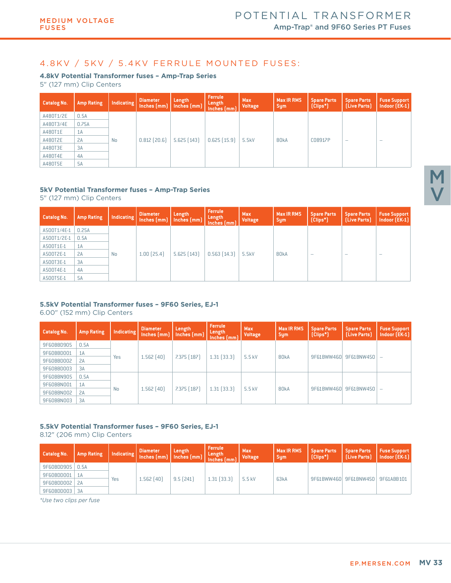## 4.8KV / 5KV / 5.4KV FERRULE MOUNTED FUSES:

#### **4.8kV Potential Transformer fuses – Amp-Trap Series**

5" (127 mm) Clip Centers

| <b>Catalog No.</b> | <b>Amp Rating</b> | Indicating | <b>Diameter</b><br>Inches [mm] | Length<br>Inches (mm) | Ferrule<br>Length<br>Inches(mm) | <b>Max</b><br><b>Voltage</b> | <b>Max IR RMS</b><br><b>Sym</b> | <b>Spare Parts</b><br>[Clips <sup>*</sup> ] | <b>Spare Parts</b><br>[Live Parts] | <b>Fuse Support</b><br>Indoor (EK-1) |
|--------------------|-------------------|------------|--------------------------------|-----------------------|---------------------------------|------------------------------|---------------------------------|---------------------------------------------|------------------------------------|--------------------------------------|
| A480T1/2E          | 0.5A              |            |                                |                       |                                 |                              |                                 |                                             |                                    |                                      |
| A480T3/4E          | 0.75A             |            |                                |                       |                                 |                              |                                 |                                             |                                    |                                      |
| A480T1E            | 1A                |            |                                |                       |                                 |                              |                                 |                                             |                                    |                                      |
| A480T2E            | 2A                | <b>No</b>  | $0.812$ (20.6)                 | $5.625$ $(143)$       | $0.625$ $(15.9)$                | 5.5kV                        | 80kA                            | C08917P                                     | $\sim$                             | $\overline{\phantom{a}}$             |
| A480T3E            | 3A                |            |                                |                       |                                 |                              |                                 |                                             |                                    |                                      |
| A480T4E            | 4A                |            |                                |                       |                                 |                              |                                 |                                             |                                    |                                      |
| A480T5E            | <b>5A</b>         |            |                                |                       |                                 |                              |                                 |                                             |                                    |                                      |

#### **5kV Potential Transformer fuses – Amp-Trap Series**

5" (127 mm) Clip Centers

| <b>Catalog No.</b> | <b>Amp Rating</b> | <b>Indicating</b> | Diameter<br>$Inches$ $(mm)$ | Length<br>$ $ Inches $[mm]$ | <b>Ferrule</b><br>Length<br>$Inches$ $(mm)$ | <b>Max</b><br><b>Voltage</b> | <b>Max IR RMS</b><br><b>Sym</b> | <b>Spare Parts</b><br>[Clips*] | <b>Spare Parts</b><br>[Live Parts] | <b>Fuse Support</b><br>Indoor (EK-1) |
|--------------------|-------------------|-------------------|-----------------------------|-----------------------------|---------------------------------------------|------------------------------|---------------------------------|--------------------------------|------------------------------------|--------------------------------------|
| A500T1/4E-1        | 0.25A             |                   |                             |                             |                                             |                              |                                 |                                |                                    |                                      |
| A500T1/2E-1        | 0.5A              |                   |                             |                             |                                             |                              |                                 |                                |                                    |                                      |
| A500T1E-1          | 1A                |                   |                             |                             |                                             |                              |                                 |                                |                                    |                                      |
| A500T2E-1          | 2A                | <b>No</b>         | $1.00$ $(25.4)$             | $5.625$ $(143)$             | $0.563$ $(14.3)$                            | 5.5kV                        | 80kA                            | $\overline{\phantom{a}}$       | $\overline{\phantom{a}}$           | $\overline{\phantom{a}}$             |
| A500T3E-1          | 3A                |                   |                             |                             |                                             |                              |                                 |                                |                                    |                                      |
| A500T4E-1          | 4A                |                   |                             |                             |                                             |                              |                                 |                                |                                    |                                      |
| A500T5E-1          | <b>5A</b>         |                   |                             |                             |                                             |                              |                                 |                                |                                    |                                      |

## **5.5kV Potential Transformer fuses – 9F60 Series, EJ-1**

6.00" (152 mm) Clip Centers

| <b>Catalog No.</b> | <b>Amp Rating</b> | Indicating | <b>Diameter</b><br>Inches [mm] | Length<br>$Inches$ $(mm)$ | <b>Ferrule</b><br>Length<br>Inches (mm) | <b>Max</b><br><b>Voltage</b> | <b>Max IR RMS</b><br><b>Sym</b> | <b>Spare Parts</b><br>[Clips <sup>*</sup> ] | <b>Spare Parts</b><br>[Live Parts] | <b>Fuse Support</b><br>Indoor (EK-1) |
|--------------------|-------------------|------------|--------------------------------|---------------------------|-----------------------------------------|------------------------------|---------------------------------|---------------------------------------------|------------------------------------|--------------------------------------|
| 9F60BBD905         | 0.5A              |            |                                |                           |                                         |                              |                                 |                                             |                                    |                                      |
| 9F60BBD001         | 1A                |            | $1.562$ $(40)$                 | $7.375$ $[187]$           | $1.31$ $(33.3)$                         | 5.5 kV                       | 80kA                            | 9F61BWW460                                  | 9F61BNW450                         |                                      |
| 9F60BBD002         | 2A                | Yes        |                                |                           |                                         |                              |                                 |                                             |                                    |                                      |
| 9F60BBD003         | 3A                |            |                                |                           |                                         |                              |                                 |                                             |                                    |                                      |
| 9F60BBN905         | 0.5A              |            |                                |                           |                                         |                              |                                 |                                             |                                    |                                      |
| 9F60BBN001         | 1A                |            |                                |                           |                                         |                              |                                 |                                             |                                    |                                      |
| 9F60BBN002         | 2A                | <b>No</b>  | $1.562$ $(40)$                 | $7.375$ $(187)$           | $1.31$ $(33.3)$                         | 5.5 kV                       | 80kA                            | 9F61BWW460                                  | 9F61BNW450                         |                                      |
| 9F60BBN003         | 3A                |            |                                |                           |                                         |                              |                                 |                                             |                                    |                                      |

## **5.5kV Potential Transformer fuses – 9F60 Series, EJ-1**

8.12" (206 mm) Clip Centers

| Catalog No. | <b>Amp Rating</b> |     | <b>Diameter</b> | Length<br>Indicating Inches (mm) Inches (mm) | <b>Ferrule</b><br>Length<br>  Inches (mm) | <b>Max</b><br><b>Voltage</b> | <b>Max IR RMS</b><br><b>Sum</b> | <b>Spare Parts</b><br>$[Clips*]$ | <b>Spare Parts</b><br><b>[Live Parts]</b> | <b>Fuse Support</b><br>Indoor (EK-1) |
|-------------|-------------------|-----|-----------------|----------------------------------------------|-------------------------------------------|------------------------------|---------------------------------|----------------------------------|-------------------------------------------|--------------------------------------|
| 9F60BDD905  | 0.5A              |     |                 |                                              |                                           |                              |                                 |                                  |                                           |                                      |
| 9F60BDD001  |                   |     |                 |                                              |                                           |                              |                                 |                                  |                                           |                                      |
| 9F60BDD002  | 2A                | Yes | 1.562 (40)      | 9.5(241)                                     | $1.31$ $(33.3)$                           | 5.5 kV                       | 63 <sub>k</sub> A               |                                  | 9F61BWW460 9F61BNW450                     | 9F61ABB101                           |
| 9F60BDD003  | 3A                |     |                 |                                              |                                           |                              |                                 |                                  |                                           |                                      |

*\*Use two clips per fuse*